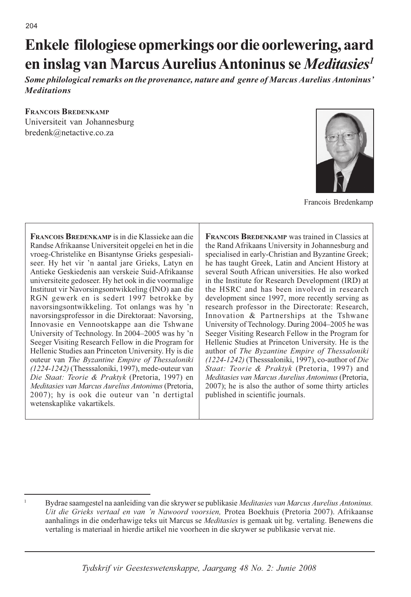# Enkele filologiese opmerkings oor die oorlewering, aard en inslag van Marcus Aurelius Antoninus se Meditasies<sup>1</sup>

Some philological remarks on the provenance, nature and genre of Marcus Aurelius Antoninus' **Meditations** 

# **FRANCOIS BREDENKAMP**

Universiteit van Johannesburg bredenk@netactive.co.za



Francois Bredenkamp

**FRANCOIS BREDENKAMP** is in die Klassieke aan die Randse Afrikaanse Universiteit opgelei en het in die vroeg-Christelike en Bisantynse Grieks gespesialiseer. Hy het vir 'n aantal jare Grieks, Latyn en Antieke Geskiedenis aan verskeie Suid-Afrikaanse universiteite gedoseer. Hy het ook in die voormalige Instituut vir Navorsingsontwikkeling (INO) aan die RGN gewerk en is sedert 1997 betrokke by navorsingsontwikkeling. Tot onlangs was hy 'n navorsingsprofessor in die Direktoraat: Navorsing, Innovasie en Vennootskappe aan die Tshwane University of Technology. In 2004–2005 was hy 'n Seeger Visiting Research Fellow in die Program for Hellenic Studies aan Princeton University. Hy is die outeur van The Byzantine Empire of Thessaloniki (1224-1242) (Thesssaloniki, 1997), mede-outeur van Die Staat: Teorie & Praktyk (Pretoria, 1997) en Meditasies van Marcus Aurelius Antoninus (Pretoria, 2007); hy is ook die outeur van 'n dertigtal wetenskaplike vakartikels.

**FRANCOIS BREDENKAMP** was trained in Classics at the Rand Afrikaans University in Johannesburg and specialised in early-Christian and Byzantine Greek; he has taught Greek, Latin and Ancient History at several South African universities. He also worked in the Institute for Research Development (IRD) at the HSRC and has been involved in research development since 1997, more recently serving as research professor in the Directorate: Research, Innovation & Partnerships at the Tshwane University of Technology. During 2004–2005 he was Seeger Visiting Research Fellow in the Program for Hellenic Studies at Princeton University. He is the author of The Byzantine Empire of Thessaloniki  $(1224-1242)$  (Thesssaloniki, 1997), co-author of Die Staat: Teorie & Praktyk (Pretoria, 1997) and Meditasies van Marcus Aurelius Antoninus (Pretoria, 2007); he is also the author of some thirty articles published in scientific journals.

Bydrae saamgestel na aanleiding van die skrywer se publikasie Meditasies van Marcus Aurelius Antoninus. Uit die Grieks vertaal en van 'n Nawoord voorsien, Protea Boekhuis (Pretoria 2007). Afrikaanse aanhalings in die onderhawige teks uit Marcus se Meditasies is gemaak uit bg. vertaling. Benewens die vertaling is materiaal in hierdie artikel nie voorheen in die skrywer se publikasie vervat nie.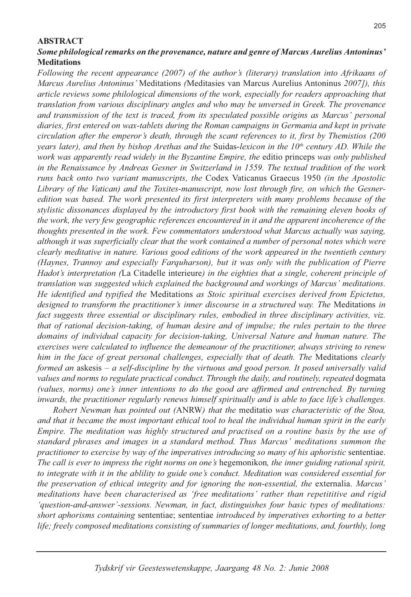# **ABSTRACT**

# Some philological remarks on the provenance, nature and genre of Marcus Aurelius Antoninus' **Meditations**

Following the recent appearance (2007) of the author's (literary) translation into Afrikaans of Marcus Aurelius Antoninus' Meditations (Meditasies van Marcus Aurelius Antoninus 2007]), this article reviews some philological dimensions of the work, especially for readers approaching that translation from various disciplinary angles and who may be unversed in Greek. The provenance and transmission of the text is traced, from its speculated possible origins as Marcus' personal diaries, first entered on wax-tablets during the Roman campaigns in Germania and kept in private circulation after the emperor's death, through the scant references to it, first by Themistios (200 years later), and then by bishop Arethas and the Suidas-lexicon in the  $10<sup>th</sup>$  century AD. While the work was apparently read widely in the Byzantine Empire, the editio princeps was only published in the Renaissance by Andreas Gesner in Switzerland in 1559. The textual tradition of the work runs back onto two variant manuscripts, the Codex Vaticanus Graecus 1950 (in the Apostolic Library of the Vatican) and the Toxites-manuscript, now lost through fire, on which the Gesneredition was based. The work presented its first interpreters with many problems because of the stylistic dissonances displayed by the introductory first book with the remaining eleven books of the work, the very few geographic references encountered in it and the apparent incoherence of the thoughts presented in the work. Few commentators understood what Marcus actually was saying, although it was superficially clear that the work contained a number of personal notes which were clearly meditative in nature. Various good editions of the work appeared in the twentieth century (Haynes, Trannoy and especially Farquharson), but it was only with the publication of Pierre Hadot's interpretation (La Citadelle interieure) in the eighties that a single, coherent principle of translation was suggested which explained the background and workings of Marcus' meditations. He identified and typified the Meditations as Stoic spiritual exercises derived from Epictetus, designed to transform the practitioner's inner discourse in a structured way. The Meditations in fact suggests three essential or disciplinary rules, embodied in three disciplinary activities, viz. that of rational decision-taking, of human desire and of impulse; the rules pertain to the three domains of individual capacity for decision-taking, Universal Nature and human nature. The exercises were calculated to influence the demeanour of the practitioner, always striving to renew him in the face of great personal challenges, especially that of death. The Meditations clearly formed an askesis  $- a$  self-discipline by the virtuous and good person. It posed universally valid values and norms to regulate practical conduct. Through the daily, and routinely, repeated dogmata (values, norms) one's inner intentions to do the good are affirmed and entrenched. By turning inwards, the practitioner regularly renews himself spiritually and is able to face life's challenges.

Robert Newman has pointed out (ANRW) that the meditatio was characteristic of the Stoa, and that it became the most important ethical tool to heal the individual human spirit in the early Empire. The meditation was highly structured and practised on a routine basis by the use of standard phrases and images in a standard method. Thus Marcus' meditations summon the practitioner to exercise by way of the imperatives introducing so many of his aphoristic sententiae. The call is ever to impress the right norms on one's hegemonikon, the inner guiding rational spirit, to integrate with it in the ability to guide one's conduct. Meditation was considered essential for the preservation of ethical integrity and for ignoring the non-essential, the externalia. Marcus' meditations have been characterised as 'free meditations' rather than repetititive and rigid 'question-and-answer'-sessions. Newman, in fact, distinguishes four basic types of meditations: short aphorisms containing sententiae; sententiae introduced by imperatives exhorting to a better life; freely composed meditations consisting of summaries of longer meditations, and, fourthly, long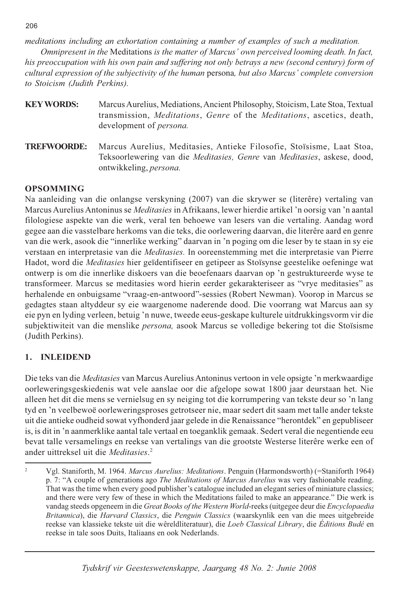meditations including an exhortation containing a number of examples of such a meditation.

Omnipresent in the Meditations is the matter of Marcus' own perceived looming death. In fact, his preoccupation with his own pain and suffering not only betrays a new (second century) form of cultural expression of the subjectivity of the human persona, but also Marcus' complete conversion to Stoicism (Judith Perkins).

| <b>KEY WORDS:</b> | Marcus Aurelius, Mediations, Ancient Philosophy, Stoicism, Late Stoa, Textual                |
|-------------------|----------------------------------------------------------------------------------------------|
|                   | transmission, <i>Meditations</i> , <i>Genre</i> of the <i>Meditations</i> , ascetics, death, |
|                   | development of <i>persona</i> .                                                              |
|                   |                                                                                              |

Marcus Aurelius, Meditasies, Antieke Filosofie, Stoïsisme, Laat Stoa, **TREFWOORDE:** Teksoorlewering van die Meditasies, Genre van Meditasies, askese, dood, ontwikkeling, persona.

# **OPSOMMING**

Na aanleiding van die onlangse verskyning (2007) van die skrywer se (literêre) vertaling van Marcus Aurelius Antoninus se Meditasies in Afrikaans, lewer hierdie artikel 'n oorsig van 'n aantal filologiese aspekte van die werk, veral ten behoewe van lesers van die vertaling. Aandag word gegee aan die vasstelbare herkoms van die teks, die oorlewering daarvan, die literêre aard en genre van die werk, asook die "innerlike werking" daarvan in 'n poging om die leser by te staan in sy eie verstaan en interpretasie van die *Meditasies*. In ooreenstemming met die interpretasie van Pierre Hadot, word die Meditasies hier geïdentifiseer en getipeer as Stoïsynse geestelike oefeninge wat ontwerp is om die innerlike diskoers van die beoefenaars daarvan op 'n gestruktureerde wyse te transformeer. Marcus se meditasies word hierin eerder gekarakteriseer as "vrye meditasies" as herhalende en onbuigsame "vraag-en-antwoord"-sessies (Robert Newman). Voorop in Marcus se gedagtes staan altyddeur sy eie waargenome naderende dood. Die voorrang wat Marcus aan sy eie pyn en lyding verleen, betuig 'n nuwe, tweede eeus-geskape kulturele uitdrukkingsvorm vir die subjektiwiteit van die menslike persona, asook Marcus se volledige bekering tot die Stoïsisme (Judith Perkins).

#### **INLEIDEND**  $\mathbf{1}$

Die teks van die *Meditasies* van Marcus Aurelius Antoninus vertoon in vele opsigte 'n merkwaardige oorleweringsgeskiedenis wat vele aanslae oor die afgelope sowat 1800 jaar deurstaan het. Nie alleen het dit die mens se vernielsug en sy neiging tot die korrumpering van tekste deur so 'n lang tyd en 'n veelbewoë oorleweringsproses getrotseer nie, maar sedert dit saam met talle ander tekste uit die antieke oudheid sowat vyfhonderd jaar gelede in die Renaissance "herontdek" en gepubliseer is, is dit in 'n aanmerklike aantal tale vertaal en toeganklik gemaak. Sedert veral die negentiende eeu bevat talle versamelings en reekse van vertalings van die grootste Westerse literêre werke een of ander uittreksel uit die Meditasies.<sup>2</sup>

206

 $\overline{2}$ Vgl. Staniforth, M. 1964. Marcus Aurelius: Meditations. Penguin (Harmondsworth) (=Staniforth 1964) p. 7: "A couple of generations ago *The Meditations of Marcus Aurelius* was very fashionable reading. That was the time when every good publisher's catalogue included an elegant series of miniature classics; and there were very few of these in which the Meditations failed to make an appearance." Die werk is vandag steeds opgeneem in die Great Books of the Western World-reeks (uitgegee deur die Encyclopaedia Britannica), die Harvard Classics, die Penguin Classics (waarskynlik een van die mees uitgebreide reekse van klassieke tekste uit die wêreldliteratuur), die Loeb Classical Library, die Éditions Budé en reekse in tale soos Duits, Italiaans en ook Nederlands.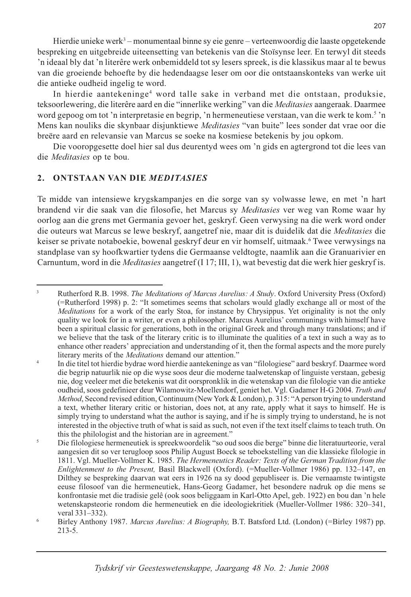Hierdie unieke werk<sup>3</sup> – monumentaal binne sy eie genre – verteenwoordig die laaste opgetekende bespreking en uitgebreide uiteensetting van betekenis van die Stoïsynse leer. En terwyl dit steeds in ideaal bly dat 'n literêre werk onbemiddeld tot sy lesers spreek, is die klassikus maar al te bewus van die groeiende behoefte by die hedendaagse leser om oor die ontstaanskonteks van werke uit die antieke oudheid ingelig te word.

In hierdie aantekeninge<sup>4</sup> word talle sake in verband met die ontstaan, produksie, teksoorlewering, die literêre aard en die "innerlike werking" van die Meditasies aangeraak. Daarmee word gepoog om tot 'n interpretasie en begrip, 'n hermeneutiese verstaan, van die werk te kom.<sup>5</sup> 'n Mens kan nouliks die skynbaar disjunktiewe Meditasies "van buite" lees sonder dat vrae oor die breëre aard en relevansie van Marcus se soeke na kosmiese betekenis by jou opkom.

Die vooropgesette doel hier sal dus deurentyd wees om 'n gids en agtergrond tot die lees van die Meditasies op te bou.

# 2. ONTSTAAN VAN DIE MEDITASIES

Te midde van intensiewe krygskampanjes en die sorge van sy volwasse lewe, en met 'n hart brandend vir die saak van die filosofie, het Marcus sy Meditasies ver weg van Rome waar hy oorlog aan die grens met Germania gevoer het, geskryf. Geen verwysing na die werk word onder die outeurs wat Marcus se lewe beskryf, aangetref nie, maar dit is duidelik dat die Meditasies die keiser se private notaboekie, bowenal geskryf deur en vir homself, uitmaak. Twee verwysings na standplase van sy hoofkwartier tydens die Germaanse veldtogte, naamlik aan die Granuarivier en Carnuntum, word in die *Meditasies* aangetref (117; III, 1), wat bevestig dat die werk hier geskryf is.

 $\overline{\mathbf{3}}$ Rutherford R.B. 1998. The Meditations of Marcus Aurelius: A Study. Oxford University Press (Oxford) (=Rutherford 1998) p. 2: "It sometimes seems that scholars would gladly exchange all or most of the Meditations for a work of the early Stoa, for instance by Chrysippus. Yet originality is not the only quality we look for in a writer, or even a philosopher. Marcus Aurelius' communings with himself have been a spiritual classic for generations, both in the original Greek and through many translations; and if we believe that the task of the literary critic is to illuminate the qualities of a text in such a way as to enhance other readers' appreciation and understanding of it, then the formal aspects and the more purely literary merits of the *Meditations* demand our attention."

In die titel tot hierdie bydrae word hierdie aantekeninge as van "filologiese" aard beskryf. Daarmee word die begrip natuurlik nie op die wyse soos deur die moderne taalwetenskap of linguiste verstaan, gebesig nie, dog veeleer met die betekenis wat dit oorspronklik in die wetenskap van die filologie van die antieke oudheid, soos gedefinieer deur Wilamowitz-Moellendorf, geniet het. Vgl. Gadamer H-G 2004. Truth and Method, Second revised edition, Continuum (New York & London), p. 315: "A person trying to understand a text, whether literary critic or historian, does not, at any rate, apply what it says to himself. He is simply trying to understand what the author is saying, and if he is simply trying to understand, he is not interested in the objective truth of what is said as such, not even if the text itself claims to teach truth. On this the philologist and the historian are in agreement."

Die filologiese hermeneutiek is spreekwoordelik "so oud soos die berge" binne die literatuurteorie, veral aangesien dit so ver terugloop soos Philip August Boeck se teboekstelling van die klassieke filologie in 1811. Vgl. Mueller-Vollmer K. 1985. The Hermeneutics Reader: Texts of the German Tradition from the Enlightenment to the Present, Basil Blackwell (Oxford). (=Mueller-Vollmer 1986) pp. 132-147, en Dilthey se bespreking daarvan wat eers in 1926 na sy dood gepubliseer is. Die vernaamste twintigste eeuse filosoof van die hermeneutiek, Hans-Georg Gadamer, het besondere nadruk op die mens se konfrontasie met die tradisie gelê (ook soos beliggaam in Karl-Otto Apel, geb. 1922) en bou dan 'n hele wetenskapsteorie rondom die hermeneutiek en die ideologiekritiek (Mueller-Vollmer 1986: 320–341, veral 331-332).

Birley Anthony 1987. Marcus Aurelius: A Biography, B.T. Batsford Ltd. (London) (=Birley 1987) pp.  $213 - 5.$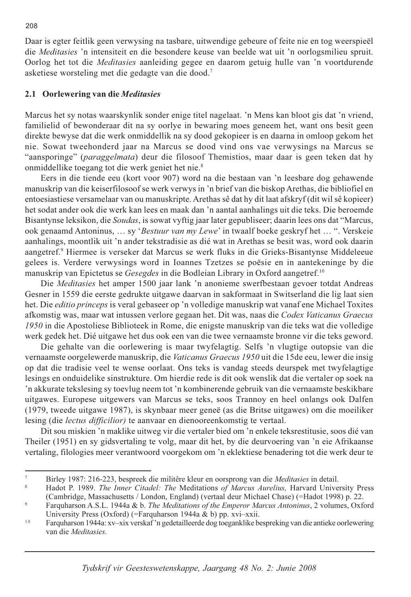Daar is egter feitlik geen verwysing na tasbare, uitwendige gebeure of feite nie en tog weerspieël die Meditasies 'n intensiteit en die besondere keuse van beelde wat uit 'n oorlogsmilieu spruit. Oorlog het tot die *Meditasies* aanleiding gegee en daarom getuig hulle van 'n voortdurende asketiese worsteling met die gedagte van die dood.<sup>7</sup>

# 2.1 Oorlewering van die Meditasies

Marcus het sy notas waarskynlik sonder enige titel nagelaat. 'n Mens kan bloot gis dat 'n vriend, familielid of bewonderaar dit na sy oorlye in bewaring moes geneem het, want ons besit geen direkte bewyse dat die werk onmiddellik na sy dood gekopieer is en daarna in omloop gekom het nie. Sowat tweehonderd jaar na Marcus se dood vind ons vae verwysings na Marcus se "aansporinge" (paraggelmata) deur die filosoof Themistios, maar daar is geen teken dat hy onmiddellike toegang tot die werk geniet het nie.<sup>8</sup>

Eers in die tiende eeu (kort voor 907) word na die bestaan van 'n leesbare dog gehawende manuskrip van die keiserfilosoof se werk verwys in 'n brief van die biskop Arethas, die bibliofiel en entoesiastiese versamelaar van ou manuskripte. Arethas sê dat hy dit laat afskryf (dit wil sê kopieer) het sodat ander ook die werk kan lees en maak dan 'n aantal aanhalings uit die teks. Die beroemde Bisantynse leksikon, die Soudas, is sowat vyftig jaar later gepubliseer; daarin lees ons dat "Marcus, ook genaamd Antoninus, ... sy 'Bestuur van my Lewe' in twaalf boeke geskryf het ... ". Verskeie aanhalings, moontlik uit 'n ander tekstradisie as dié wat in Arethas se besit was, word ook daarin aangetref.<sup>9</sup> Hiermee is verseker dat Marcus se werk fluks in die Grieks-Bisantynse Middeleeue gelees is. Verdere verwysings word in Ioannes Tzetzes se poësie en in aantekeninge by die manuskrip van Epictetus se Gesegdes in die Bodleian Library in Oxford aangetref.<sup>10</sup>

Die Meditasies het amper 1500 jaar lank 'n anonieme swerfbestaan gevoer totdat Andreas Gesner in 1559 die eerste gedrukte uitgawe daarvan in sakformaat in Switserland die lig laat sien het. Die *editio princeps* is veral gebaseer op 'n volledige manuskrip wat vanaf ene Michael Toxites afkomstig was, maar wat intussen verlore gegaan het. Dit was, naas die Codex Vaticanus Graecus 1950 in die Apostoliese Biblioteek in Rome, die enigste manuskrip van die teks wat die volledige werk gedek het. Dié uitgawe het dus ook een van die twee vernaamste bronne vir die teks geword.

Die gehalte van die oorlewering is maar twyfelagtig. Selfs 'n vlugtige outopsie van die vernaamste oorgelewerde manuskrip, die Vaticanus Graecus 1950 uit die 15de eeu, lewer die insig op dat die tradisie veel te wense oorlaat. Ons teks is vandag steeds deurspek met twyfelagtige lesings en onduidelike sinstrukture. Om hierdie rede is dit ook wenslik dat die vertaler op soek na 'n akkurate tekslesing sy toevlug neem tot 'n kombinerende gebruik van die vernaamste beskikbare uitgawes. Europese uitgewers van Marcus se teks, soos Trannoy en heel onlangs ook Dalfen (1979, tweede uitgawe 1987), is skynbaar meer geneë (as die Britse uitgawes) om die moeiliker lesing (die *lectus difficilior*) te aanvaar en dienooreenkomstig te vertaal.

Dit sou miskien 'n maklike uitweg vir die vertaler bied om 'n enkele teksrestitusie, soos dié van Theiler (1951) en sy gidsvertaling te volg, maar dit het, by die deurvoering van 'n eie Afrikaanse vertaling, filologies meer verantwoord voorgekom om 'n eklektiese benadering tot die werk deur te

Birley 1987: 216-223, bespreek die militêre kleur en oorsprong van die Meditasies in detail.

 $\mathbf{Q}$ Hadot P. 1989. The Inner Citadel: The Meditations of Marcus Aurelius, Harvard University Press (Cambridge, Massachusetts / London, England) (vertaal deur Michael Chase) (=Hadot 1998) p. 22.

Farquharson A.S.L. 1944a & b. The Meditations of the Emperor Marcus Antoninus, 2 volumes, Oxford University Press (Oxford) (=Farquharson 1944a & b) pp. xvi-xxii.

 $10$ Farquharson 1944a: xv-xix verskaf'n gedetailleerde dog toeganklike bespreking van die antieke oorlewering van die Meditasies.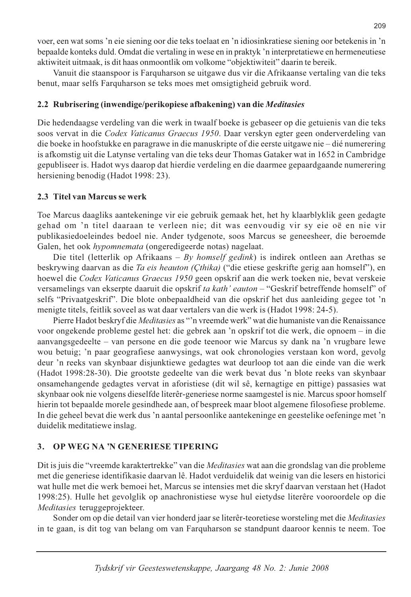voer, een wat soms 'n eie siening oor die teks toelaat en 'n idiosinkratiese siening oor betekenis in 'n bepaalde konteks duld. Omdat die vertaling in wese en in praktyk 'n interpretatiewe en hermeneutiese aktiwiteit uitmaak, is dit haas onmoontlik om volkome "objektiwiteit" daarin te bereik.

Vanuit die staanspoor is Farquharson se uitgawe dus vir die Afrikaanse vertaling van die teks benut, maar selfs Farquharson se teks moes met omsigtigheid gebruik word.

# 2.2 Rubrisering (inwendige/perikopiese afbakening) van die Meditasies

Die hedendaagse verdeling van die werk in twaalf boeke is gebaseer op die getuienis van die teks soos vervat in die Codex Vaticanus Graecus 1950. Daar verskyn egter geen onderverdeling van die boeke in hoofstukke en paragrawe in die manuskripte of die eerste uitgawe nie – dié numerering is afkomstig uit die Latynse vertaling van die teks deur Thomas Gataker wat in 1652 in Cambridge gepubliseer is. Hadot wys daarop dat hierdie verdeling en die daarmee gepaardgaande numerering hersiening benodig (Hadot 1998: 23).

# 2.3 Titel van Marcus se werk

Toe Marcus daagliks aantekeninge vir eie gebruik gemaak het, het hy klaarblyklik geen gedagte gehad om 'n titel daaraan te verleen nie; dit was eenvoudig vir sy eie oë en nie vir publikasiedoeleindes bedoel nie. Ander tydgenote, soos Marcus se geneesheer, die beroemde Galen, het ook *hypomnemata* (ongeredigeerde notas) nagelaat.

Die titel (letterlik op Afrikaans – By homself gedink) is indirek ontleen aan Arethas se beskrywing daarvan as die Ta eis heauton (Cthika) ("die etiese geskrifte gerig aan homself"), en hoewel die Codex Vaticanus Graecus 1950 geen opskrif aan die werk toeken nie, bevat verskeie versamelings van ekserpte daaruit die opskrif ta kath' eauton - "Geskrif betreffende homself" of selfs "Privaatgeskrif". Die blote onbepaaldheid van die opskrif het dus aanleiding gegee tot 'n menigte titels, feitlik soveel as wat daar vertalers van die werk is (Hadot 1998: 24-5).

Pierre Hadot beskryf die Meditasies as "'n vreemde werk" wat die humaniste van die Renaissance voor ongekende probleme gestel het: die gebrek aan 'n opskrif tot die werk, die opnoem – in die aanvangsgedeelte – van persone en die gode teenoor wie Marcus sy dank na 'n vrugbare lewe wou betuig; 'n paar geografiese aanwysings, wat ook chronologies verstaan kon word, gevolg deur 'n reeks van skynbaar disjunktiewe gedagtes wat deurloop tot aan die einde van die werk (Hadot 1998:28-30). Die grootste gedeelte van die werk bevat dus 'n blote reeks van skynbaar onsamehangende gedagtes vervat in aforistiese (dit wil sê, kernagtige en pittige) passasies wat skynbaar ook nie volgens dieselfde literêr-generiese norme saamgestel is nie. Marcus spoor homself hierin tot bepaalde morele gesindhede aan, of bespreek maar bloot algemene filosofiese probleme. In die geheel bevat die werk dus 'n aantal persoonlike aantekeninge en geestelike oefeninge met 'n duidelik meditatiewe inslag.

#### 3. OP WEG NA 'N GENERIESE TIPERING

Dit is juis die "vreemde karaktertrekke" van die *Meditasies* wat aan die grondslag van die probleme met die generiese identifikasie daarvan lê. Hadot verduidelik dat weinig van die lesers en historici wat hulle met die werk bemoei het. Marcus se intensies met die skryf daarvan verstaan het (Hadot 1998:25). Hulle het gevolglik op anachronistiese wyse hul eietydse literêre vooroordele op die Meditasies teruggeprojekteer.

Sonder om op die detail van vier honderd jaar se literêr-teoretiese worsteling met die Meditasies in te gaan, is dit tog van belang om van Farquharson se standpunt daaroor kennis te neem. Toe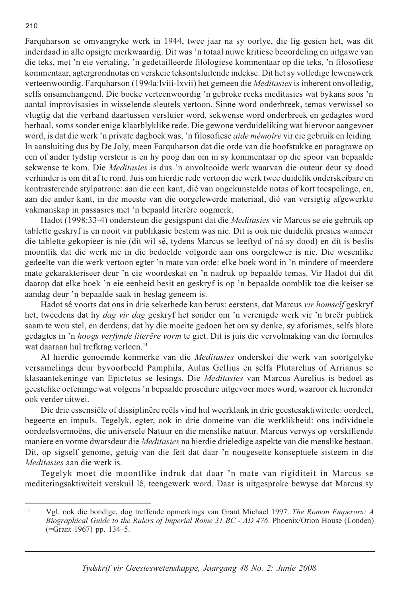Farquharson se omvangryke werk in 1944, twee jaar na sy oorlye, die lig gesien het, was dit inderdaad in alle opsigte merkwaardig. Dit was 'n totaal nuwe kritiese beoordeling en uitgawe van die teks, met 'n eie vertaling, 'n gedetailleerde filologiese kommentaar op die teks, 'n filosofiese kommentaar, agtergrondnotas en verskeie teksontsluitende indekse. Dit het sy volledige lewenswerk verteenwoordig. Farquharson (1994a:lviii-lxvii) het gemeen die Meditasies is inherent onvolledig, selfs onsamehangend. Die boeke verteenwoordig 'n gebroke reeks meditasies wat bykans soos 'n aantal improvisasies in wisselende sleutels vertoon. Sinne word onderbreek, temas verwissel so vlugtig dat die verband daartussen versluier word, sekwense word onderbreek en gedagtes word herhaal, soms sonder enige klaarblyklike rede. Die gewone verduideliking wat hiervoor aangevoer word, is dat die werk 'n private dagboek was, 'n filosofiese *aide mémoire* vir eie gebruik en leiding. In aansluiting dus by De Joly, meen Farquharson dat die orde van die hoofstukke en paragrawe op een of ander tydstip versteur is en hy poog dan om in sy kommentaar op die spoor van bepaalde sekwense te kom. Die Meditasies is dus 'n onvoltooide werk waarvan die outeur deur sy dood verhinder is om dit af te rond. Juis om hierdie rede vertoon die werk twee duidelik onderskeibare en kontrasterende stylpatrone: aan die een kant, dié van ongekunstelde notas of kort toespelinge, en, aan die ander kant, in die meeste van die oorgelewerde materiaal, dié van versigtig afgewerkte vakmanskap in passasies met 'n bepaald literêre oogmerk.

Hadot (1998:33-4) ondersteun die gesigspunt dat die Meditasies vir Marcus se eie gebruik op tablette geskryf is en nooit vir publikasie bestem was nie. Dit is ook nie duidelik presies wanneer die tablette gekopieer is nie (dit wil sê, tydens Marcus se leeftyd of ná sy dood) en dit is beslis moontlik dat die werk nie in die bedoelde volgorde aan ons oorgelewer is nie. Die wesenlike gedeelte van die werk vertoon egter 'n mate van orde: elke boek word in 'n mindere of meerdere mate gekarakteriseer deur 'n eie woordeskat en 'n nadruk op bepaalde temas. Vir Hadot dui dit daarop dat elke boek 'n eie eenheid besit en geskryf is op 'n bepaalde oomblik toe die keiser se aandag deur 'n bepaalde saak in beslag geneem is.

Hadot sê voorts dat ons in drie sekerhede kan berus: eerstens, dat Marcus vir homself geskryf het, tweedens dat hy *dag vir dag geskryf* het sonder om 'n verenigde werk vir 'n breër publiek saam te wou stel, en derdens, dat hy die moeite gedoen het om sy denke, sy aforismes, selfs blote gedagtes in 'n *hoogs verfynde literêre vorm* te giet. Dit is juis die vervolmaking van die formules wat daaraan hul trefkrag verleen.<sup>11</sup>

Al hierdie genoemde kenmerke van die *Meditasies* onderskei die werk van soortgelyke versamelings deur byvoorbeeld Pamphila, Aulus Gellius en selfs Plutarchus of Arrianus se klasaantekeninge van Epictetus se lesings. Die Meditasies van Marcus Aurelius is bedoel as geestelike oefeninge wat volgens 'n bepaalde prosedure uitgevoer moes word, waaroor ek hieronder ook verder uitwei.

Die drie essensiële of dissiplinêre reëls vind hul weerklank in drie geestesaktiwiteite: oordeel, begeerte en impuls. Tegelyk, egter, ook in drie domeine van die werklikheid: ons individuele oordeelsvermoëns, die universele Natuur en die menslike natuur. Marcus verwys op verskillende maniere en vorme dwarsdeur die *Meditasies* na hierdie drieledige aspekte van die menslike bestaan. Dít, op sigself genome, getuig van die feit dat daar 'n nougesette konseptuele sisteem in die Meditasies aan die werk is.

Tegelyk moet die moontlike indruk dat daar 'n mate van rigiditeit in Marcus se mediteringsaktiwiteit verskuil lê, teengewerk word. Daar is uitgesproke bewyse dat Marcus sy

 $\overline{11}$ Vgl. ook die bondige, dog treffende opmerkings van Grant Michael 1997. The Roman Emperors: A Biographical Guide to the Rulers of Imperial Rome 31 BC - AD 476. Phoenix/Orion House (Londen) (=Grant 1967) pp. 134-5.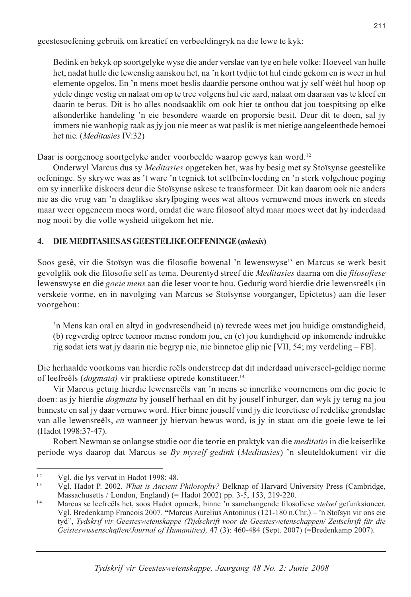geestesoefening gebruik om kreatief en verbeeldingryk na die lewe te kyk:

Bedink en bekyk op soortgelyke wyse die ander verslae van tye en hele volke: Hoeveel van hulle het, nadat hulle die lewenslig aanskou het, na 'n kort tydjie tot hul einde gekom en is weer in hul elemente opgelos. En 'n mens moet beslis daardie persone onthou wat jy self wéét hul hoop op ydele dinge vestig en nalaat om op te tree volgens hul eie aard, nalaat om daaraan vas te kleef en daarin te berus. Dit is bo alles noodsaaklik om ook hier te onthou dat jou toespitsing op elke afsonderlike handeling 'n eie besondere waarde en proporsie besit. Deur dit te doen, sal jy immers nie wanhopig raak as jy jou nie meer as wat paslik is met nietige aangeleenthede bemoei het nie. (Meditasies IV:32)

Daar is oorgenoeg soortgelyke ander voorbeelde waarop gewys kan word.<sup>12</sup>

Onderwyl Marcus dus sy *Meditasies* opgeteken het, was hy besig met sy Stoïsynse geestelike oefeninge. Sy skrywe was as 't ware 'n tegniek tot selfbeïnvloeding en 'n sterk volgehoue poging om sy innerlike diskoers deur die Stoïsynse askese te transformeer. Dit kan daarom ook nie anders nie as die vrug van 'n daaglikse skryfpoging wees wat altoos vernuwend moes inwerk en steeds maar weer opgeneem moes word, omdat die ware filosoof altyd maar moes weet dat hy inderdaad nog nooit by die volle wysheid uitgekom het nie.

#### DIE MEDITASIES AS GEESTELIKE OEFENINGE (askesis)  $\mathbf{4}$ .

Soos gesê, vir die Stoïsyn was die filosofie bowenal 'n lewenswyse<sup>13</sup> en Marcus se werk besit gevolglik ook die filosofie self as tema. Deurentyd streef die Meditasies daarna om die filosofiese lewenswyse en die *goeie mens* aan die leser voor te hou. Gedurig word hierdie drie lewensreëls (in verskeie vorme, en in navolging van Marcus se Stoïsynse voorganger, Epictetus) aan die leser voorgehou:

'n Mens kan oral en altyd in godvresendheid (a) tevrede wees met jou huidige omstandigheid, (b) regverdig optree teenoor mense rondom jou, en (c) jou kundigheid op inkomende indrukke rig sodat iets wat jy daarin nie begryp nie, nie binnetoe glip nie [VII, 54; my verdeling – FB].

Die herhaalde voorkoms van hierdie reëls onderstreep dat dit inderdaad universeel-geldige norme of leefreëls (*dogmata*) vir praktiese optrede konstitueer.<sup>14</sup>

Vir Marcus getuig hierdie lewensreëls van 'n mens se innerlike voornemens om die goeie te doen: as jy hierdie *dogmata* by jouself herhaal en dit by jouself inburger, dan wyk jy terug na jou binneste en sal jy daar vernuwe word. Hier binne jouself vind jy die teoretiese of redelike grondslae van alle lewensreëls, en wanneer jy hiervan bewus word, is jy in staat om die goeie lewe te lei (Hadot 1998:37-47).

Robert Newman se onlangse studie oor die teorie en praktyk van die *meditatio* in die keiserlike periode wys daarop dat Marcus se By myself gedink (Meditasies) 'n sleuteldokument vir die

 $12$ Vgl. die lys vervat in Hadot 1998: 48.

<sup>13</sup> Vgl. Hadot P. 2002. What is Ancient Philosophy? Belknap of Harvard University Press (Cambridge, Massachusetts / London, England) (= Hadot 2002) pp. 3-5, 153, 219-220.

 $14$ Marcus se leefreëls het, soos Hadot opmerk, binne 'n samehangende filosofiese stelsel gefunksioneer. Vgl. Bredenkamp Francois 2007. "Marcus Aurelius Antoninus (121-180 n.Chr.) - 'n Stoïsyn vir ons eie tyd", Tydskrif vir Geesteswetenskappe (Tijdschrift voor de Geesteswetenschappen/ Zeitschrift für die Geisteswissenschaften/Journal of Humanities), 47 (3): 460-484 (Sept. 2007) (=Bredenkamp 2007).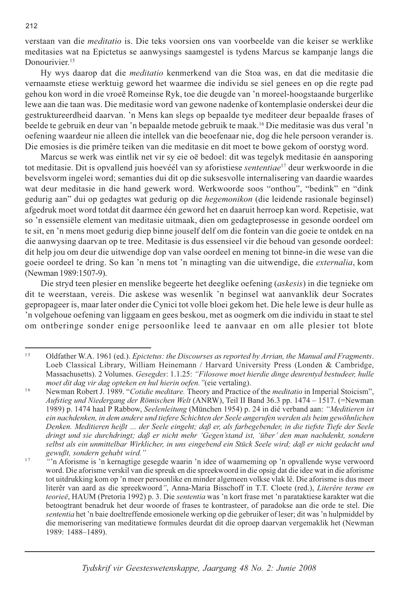verstaan van die *meditatio* is. Die teks voorsien ons van voorbeelde van die keiser se werklike meditasies wat na Epictetus se aanwysings saamgestel is tydens Marcus se kampanje langs die Donourivier.<sup>15</sup>

Hy wys daarop dat die *meditatio* kenmerkend van die Stoa was, en dat die meditasie die vernaamste etiese werktuig geword het waarmee die individu se siel genees en op die regte pad gehou kon word in die vroeë Romeinse Ryk, toe die deugde van 'n moreel-hoogstaande burgerlike lewe aan die taan was. Die meditasie word van gewone nadenke of kontemplasie onderskei deur die gestruktureerdheid daarvan. 'n Mens kan slegs op bepaalde tye mediteer deur bepaalde frases of beelde te gebruik en deur van 'n bepaalde metode gebruik te maak.<sup>16</sup> Die meditasie was dus veral 'n oefening waardeur nie alleen die intellek van die beoefenaar nie, dog die hele persoon verander is. Die emosies is die primêre teiken van die meditasie en dit moet te bowe gekom of oorstyg word.

Marcus se werk was eintlik net vir sy eie oë bedoel: dit was tegelyk meditasie én aansporing tot meditasie. Dit is opvallend juis hoevéél van sy aforistiese *sententiae*<sup>17</sup> deur werkwoorde in die bevelsvorm ingelei word; semanties dui dit op die suksesvolle internalisering van daardie waardes wat deur meditasie in die hand gewerk word. Werkwoorde soos "onthou", "bedink" en "dink gedurig aan" dui op gedagtes wat gedurig op die hegemonikon (die leidende rasionale beginsel) afgedruk moet word totdat dit daarmee één geword het en daaruit herroep kan word. Repetisie, wat so 'n essensiële element van meditasie uitmaak, dien om gedagteprosesse in gesonde oordeel om te sit, en 'n mens moet gedurig diep binne jouself delf om die fontein van die goeie te ontdek en na die aanwysing daarvan op te tree. Meditasie is dus essensieel vir die behoud van gesonde oordeel: dit help jou om deur die uitwendige dop van valse oordeel en mening tot binne-in die wese van die goeie oordeel te dring. So kan 'n mens tot 'n minagting van die uitwendige, die externalia, kom (Newman 1989:1507-9).

Die stryd teen plesier en menslike begeerte het deeglike oefening (askesis) in die tegnieke om dit te weerstaan, vereis. Die askese was wesenlik 'n beginsel wat aanvanklik deur Socrates gepropageer is, maar later onder die Cynici tot volle bloei gekom het. Die hele lewe is deur hulle as 'n volgehoue oefening van liggaam en gees beskou, met as oogmerk om die individu in staat te stel om ontberinge sonder enige persoonlike leed te aanvaar en om alle plesier tot blote

 $15$ Oldfather W.A. 1961 (ed.). Epictetus: the Discourses as reported by Arrian, the Manual and Fragments. Loeb Classical Library, William Heinemann / Harvard University Press (Londen & Cambridge, Massachusetts). 2 Volumes. Gesegdes: 1.1.25: "Filosowe moet hierdie dinge deurentyd bestudeer, hulle moet dit dag vir dag opteken en hul hierin oefen. "(eie vertaling).

 $16$ Newman Robert J. 1989. "Cotidie meditare. Theory and Practice of the meditatio in Imperial Stoicism", Aufstieg und Niedergang der Römischen Welt (ANRW), Teil II Band 36.3 pp. 1474 - 1517. (=Newman 1989) p. 1474 haal P Rabbow, Seelenleitung (München 1954) p. 24 in dié verband aan: "Meditieren ist ein nachdenken, in dem andere und tiefere Schichten der Seele angerufen werden als beim gewöhnlichen Denken. Meditieren heißt ... der Seele eingeht; daß er, als farbegebender, in die tiefste Tiefe der Seele dringt und sie durchdringt; daß er nicht mehr 'Gegen'stand ist, 'über' den man nachdenkt, sondern selbst als ein unmittelbar Wirklicher, in uns eingebend ein Stück Seele wird; daß er nicht gedacht und gewußt, sondern gehabt wird."

 $17$ "n Aforisme is 'n kernagtige gesegde waarin 'n idee of waarneming op 'n opvallende wyse verwoord word. Die aforisme verskil van die spreuk en die spreekwoord in die opsig dat die idee wat in die aforisme tot uitdrukking kom op 'n meer persoonlike en minder algemeen volkse vlak lê. Die aforisme is dus meer literêr van aard as die spreekwoord", Anna-Maria Bisschoff in T.T. Cloete (red.), Literêre terme en teorieë, HAUM (Pretoria 1992) p. 3. Die sententia was 'n kort frase met 'n parataktiese karakter wat die betoogtrant benadruk het deur woorde of frases te kontrasteer, of paradokse aan die orde te stel. Die sententia het 'n baie doeltreffende emosionele werking op die gebruiker of leser; dit was 'n hulpmiddel by die memorisering van meditatiewe formules deurdat dit die oproep daarvan vergemaklik het (Newman 1989: 1488-1489).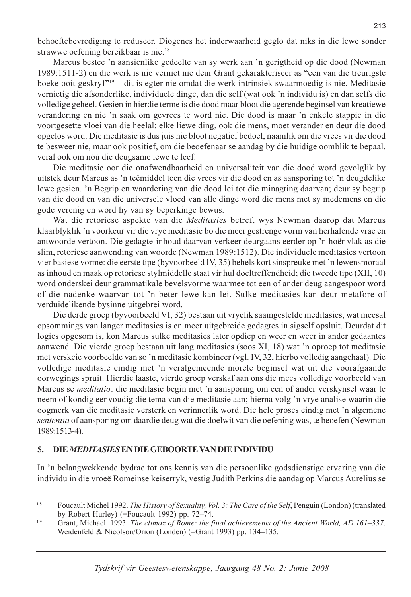behoeftebevrediging te reduseer. Diogenes het inderwaarheid geglo dat niks in die lewe sonder strawwe oefening bereikbaar is nie.<sup>18</sup>

Marcus bestee 'n aansienlike gedeelte van sy werk aan 'n gerigtheid op die dood (Newman 1989:1511-2) en die werk is nie verniet nie deur Grant gekarakteriseer as "een van die treurigste boeke ooit geskryf<sup>"19</sup> – dit is egter nie omdat die werk intrinsiek swaarmoedig is nie. Meditasie vernietig die afsonderlike, individuele dinge, dan die self (wat ook 'n individu is) en dan selfs die volledige geheel. Gesien in hierdie terme is die dood maar bloot die agerende beginsel van kreatiewe verandering en nie 'n saak om gevrees te word nie. Die dood is maar 'n enkele stappie in die voortgesette vloei van die heelal: elke liewe ding, ook die mens, moet verander en deur die dood opgelos word. Die meditasie is dus juis nie bloot negatief bedoel, naamlik om die vrees vir die dood te besweer nie, maar ook positief, om die beoefenaar se aandag by die huidige oomblik te bepaal, veral ook om nóú die deugsame lewe te leef.

Die meditasie oor die onafwendbaarheid en universaliteit van die dood word gevolglik by uitstek deur Marcus as 'n teëmiddel teen die vrees vir die dood en as aansporing tot 'n deugdelike lewe gesien. 'n Begrip en waardering van die dood lei tot die minagting daarvan; deur sy begrip van die dood en van die universele vloed van alle dinge word die mens met sy medemens en die gode verenig en word hy van sy beperkinge bewus.

Wat die retoriese aspekte van die Meditasies betref, wys Newman daarop dat Marcus klaarblyklik 'n voorkeur vir die vrye meditasie bo die meer gestrenge vorm van herhalende vrae en antwoorde vertoon. Die gedagte-inhoud daarvan verkeer deurgaans eerder op 'n hoër vlak as die slim, retoriese aanwending van woorde (Newman 1989:1512). Die individuele meditasies vertoon vier basiese vorme: die eerste tipe (byvoorbeeld IV, 35) behels kort sinspreuke met 'n lewensmoraal as inhoud en maak op retoriese stylmiddelle staat vir hul doeltreffendheid; die tweede tipe (XII, 10) word onderskei deur grammatikale bevelsvorme waarmee tot een of ander deug aangespoor word of die nadenke waarvan tot 'n beter lewe kan lei. Sulke meditasies kan deur metafore of verduidelikende bysinne uitgebrei word.

Die derde groep (byvoorbeeld VI, 32) bestaan uit vryelik saamgestelde meditasies, wat meesal opsommings van langer meditasies is en meer uitgebreide gedagtes in sigself opsluit. Deurdat dit logies opgesom is, kon Marcus sulke meditasies later opdiep en weer en weer in ander gedaantes aanwend. Die vierde groep bestaan uit lang meditasies (soos XI, 18) wat 'n oproep tot meditasie met verskeie voorbeelde van so 'n meditasie kombineer (vgl. IV, 32, hierbo volledig aangehaal). Die volledige meditasie eindig met 'n veralgemeende morele beginsel wat uit die voorafgaande oorwegings spruit. Hierdie laaste, vierde groep verskaf aan ons die mees volledige voorbeeld van Marcus se *meditatio*: die meditasie begin met 'n aansporing om een of ander verskynsel waar te neem of kondig eenvoudig die tema van die meditasie aan; hierna volg 'n vrye analise waarin die oogmerk van die meditasie versterk en verinnerlik word. Die hele proses eindig met 'n algemene sententia of aansporing om daardie deug wat die doelwit van die oefening was, te beoefen (Newman 1989:1513-4).

#### 5. DIE MEDITASIES EN DIE GEBOORTE VAN DIE INDIVIDU

In 'n belangwekkende bydrae tot ons kennis van die persoonlike godsdienstige ervaring van die individu in die vroeë Romeinse keiserryk, vestig Judith Perkins die aandag op Marcus Aurelius se

 $18$ Foucault Michel 1992. The History of Sexuality, Vol. 3: The Care of the Self, Penguin (London) (translated by Robert Hurley) (=Foucault 1992) pp.  $72-74$ .

<sup>19</sup> Grant, Michael. 1993. The climax of Rome: the final achievements of the Ancient World, AD 161-337. Weidenfeld & Nicolson/Orion (Londen) (=Grant 1993) pp. 134-135.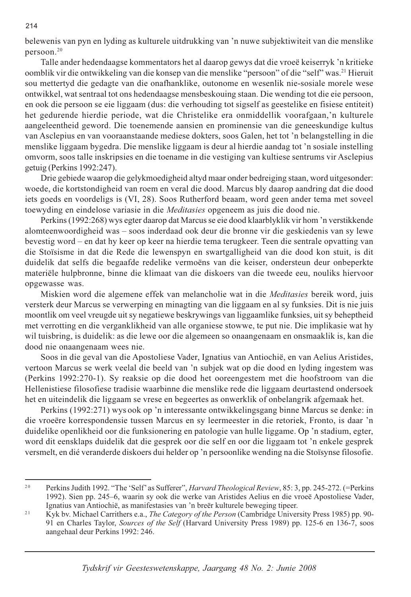belewenis van pyn en lyding as kulturele uitdrukking van 'n nuwe subjektiwiteit van die menslike persoon.<sup>20</sup>

Talle ander hedendaagse kommentators het al daarop gewys dat die vroeë keiserryk 'n kritieke oomblik vir die ontwikkeling van die konsep van die menslike "persoon" of die "self" was.<sup>21</sup> Hieruit sou mettertyd die gedagte van die onafhanklike, outonome en wesenlik nie-sosiale morele wese ontwikkel, wat sentraal tot ons hedendaagse mensbeskouing staan. Die wending tot die eie persoon, en ook die persoon se eie liggaam (dus: die verhouding tot sigself as geestelike en fisiese entiteit) het gedurende hierdie periode, wat die Christelike era onmiddellik voorafgaan,'n kulturele aangeleentheid geword. Die toenemende aansien en prominensie van die geneeskundige kultus van Asclepius en van vooraanstaande mediese dokters, soos Galen, het tot 'n belangstelling in die menslike liggaam bygedra. Die menslike liggaam is deur al hierdie aandag tot 'n sosiale instelling omvorm, soos talle inskripsies en die toename in die vestiging van kultiese sentrums vir Asclepius getuig (Perkins 1992:247).

Drie gebiede waarop die gelykmoedigheid altyd maar onder bedreiging staan, word uitgesonder: woede, die kortstondigheid van roem en veral die dood. Marcus bly daarop aandring dat die dood iets goeds en voordeligs is (VI, 28). Soos Rutherford beaam, word geen ander tema met soveel toewyding en eindelose variasie in die Meditasies opgeneem as juis die dood nie.

Perkins (1992:268) wys egter daarop dat Marcus se eie dood klaarblyklik vir hom 'n verstikkende alomteenwoordigheid was - soos inderdaad ook deur die bronne vir die geskiedenis van sy lewe bevestig word – en dat hy keer op keer na hierdie tema terugkeer. Teen die sentrale opvatting van die Stoïsisme in dat die Rede die lewenspyn en swartgalligheid van die dood kon stuit, is dit duidelik dat selfs die begaafde redelike vermoëns van die keiser, ondersteun deur onbeperkte materiële hulpbronne, binne die klimaat van die diskoers van die tweede eeu, nouliks hiervoor opgewasse was.

Miskien word die algemene effek van melancholie wat in die Meditasies bereik word, juis versterk deur Marcus se verwerping en minagting van die liggaam en al sy funksies. Dit is nie juis moontlik om veel vreugde uit sy negatiewe beskrywings van liggaamlike funksies, uit sy beheptheid met verrotting en die verganklikheid van alle organiese stowwe, te put nie. Die implikasie wat hy wil tuisbring, is duidelik: as die lewe oor die algemeen so onaangenaam en onsmaaklik is, kan die dood nie onaangenaam wees nie.

Soos in die geval van die Apostoliese Vader, Ignatius van Antiochië, en van Aelius Aristides, vertoon Marcus se werk veelal die beeld van 'n subjek wat op die dood en lyding ingestem was (Perkins 1992:270-1). Sy reaksie op die dood het ooreengestem met die hoofstroom van die Hellenistiese filosofiese tradisie waarbinne die menslike rede die liggaam deurtastend ondersoek het en uiteindelik die liggaam se vrese en begeertes as onwerklik of onbelangrik afgemaak het.

Perkins (1992:271) wys ook op 'n interessante ontwikkelingsgang binne Marcus se denke: in die vroeëre korrespondensie tussen Marcus en sy leermeester in die retoriek, Fronto, is daar 'n duidelike openlikheid oor die funksionering en patologie van hulle liggame. Op 'n stadium, egter, word dit eensklaps duidelik dat die gesprek oor die self en oor die liggaam tot 'n enkele gesprek versmelt, en dié veranderde diskoers dui helder op 'n persoonlike wending na die Stoïsynse filosofie.

 $2.0$ Perkins Judith 1992. "The 'Self' as Sufferer", *Harvard Theological Review*, 85: 3, pp. 245-272. (=Perkins 1992). Sien pp. 245–6, waarin sy ook die werke van Aristides Aelius en die vroeë Apostoliese Vader, Ignatius van Antiochië, as manifestasies van 'n breër kulturele beweging tipeer.

 $21$ Kyk bv. Michael Carrithers e.a., The Category of the Person (Cambridge University Press 1985) pp. 90-91 en Charles Taylor, Sources of the Self (Harvard University Press 1989) pp. 125-6 en 136-7, soos aangehaal deur Perkins 1992: 246.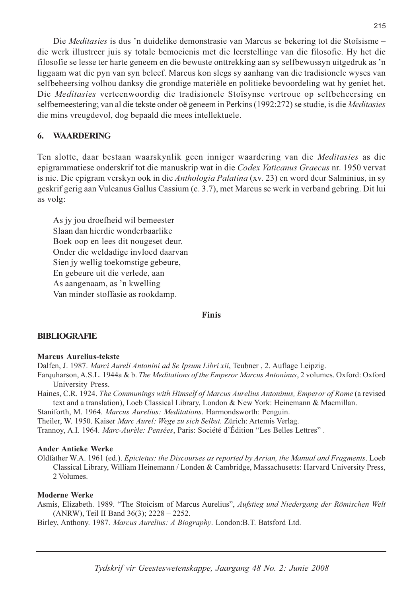Die Meditasies is dus 'n duidelike demonstrasie van Marcus se bekering tot die Stoïsisme die werk illustreer juis sy totale bemoeienis met die leerstellinge van die filosofie. Hy het die filosofie se lesse ter harte geneem en die bewuste onttrekking aan sy selfbewussyn uitgedruk as 'n liggaam wat die pyn van syn beleef. Marcus kon slegs sy aanhang van die tradisionele wyses van selfbeheersing volhou danksy die grondige materiële en politieke bevoordeling wat hy geniet het. Die Meditasies verteenwoordig die tradisionele Stoïsynse vertroue op selfbeheersing en selfbemeestering; van al die tekste onder oë geneem in Perkins (1992:272) se studie, is die Meditasies die mins vreugdevol, dog bepaald die mees intellektuele.

#### 6. **WAARDERING**

Ten slotte, daar bestaan waarskynlik geen inniger waardering van die Meditasies as die epigrammatiese onderskrif tot die manuskrip wat in die Codex Vaticanus Graecus nr. 1950 vervat is nie. Die epigram verskyn ook in die *Anthologia Palatina* (xv. 23) en word deur Salminius, in sy geskrif gerig aan Vulcanus Gallus Cassium (c. 3.7), met Marcus se werk in verband gebring. Dit lui as volg:

As jy jou droefheid wil bemeester Slaan dan hierdie wonderbaarlike Boek oop en lees dit nougeset deur. Onder die weldadige invloed daarvan Sien jy wellig toekomstige gebeure, En gebeure uit die verlede, aan As aangenaam, as 'n kwelling Van minder stoffasie as rookdamp.

## **Finis**

## **BIBLIOGRAFIE**

## **Marcus Aurelius-tekste**

Dalfen, J. 1987. Marci Aureli Antonini ad Se Ipsum Libri xii, Teubner, 2. Auflage Leipzig.

Farquharson, A.S.L. 1944a & b. The Meditations of the Emperor Marcus Antoninus, 2 volumes. Oxford: Oxford University Press.

Haines, C.R. 1924. The Communings with Himself of Marcus Aurelius Antoninus, Emperor of Rome (a revised text and a translation), Loeb Classical Library, London & New York: Heinemann & Macmillan.

Staniforth, M. 1964. Marcus Aurelius: Meditations. Harmondsworth: Penguin.

Theiler, W. 1950. Kaiser Marc Aurel: Wege zu sich Selbst. Zürich: Artemis Verlag.

Trannoy, A.I. 1964. Marc-Aurèle: Pensées, Paris: Société d'Édition "Les Belles Lettres".

### **Ander Antieke Werke**

Oldfather W.A. 1961 (ed.). Epictetus: the Discourses as reported by Arrian, the Manual and Fragments. Loeb Classical Library, William Heinemann / Londen & Cambridge, Massachusetts: Harvard University Press, 2 Volumes.

### **Moderne Werke**

Asmis, Elizabeth. 1989. "The Stoicism of Marcus Aurelius", Aufstieg und Niedergang der Römischen Welt (ANRW), Teil II Band 36(3); 2228 - 2252.

Birley, Anthony. 1987. Marcus Aurelius: A Biography. London: B.T. Batsford Ltd.